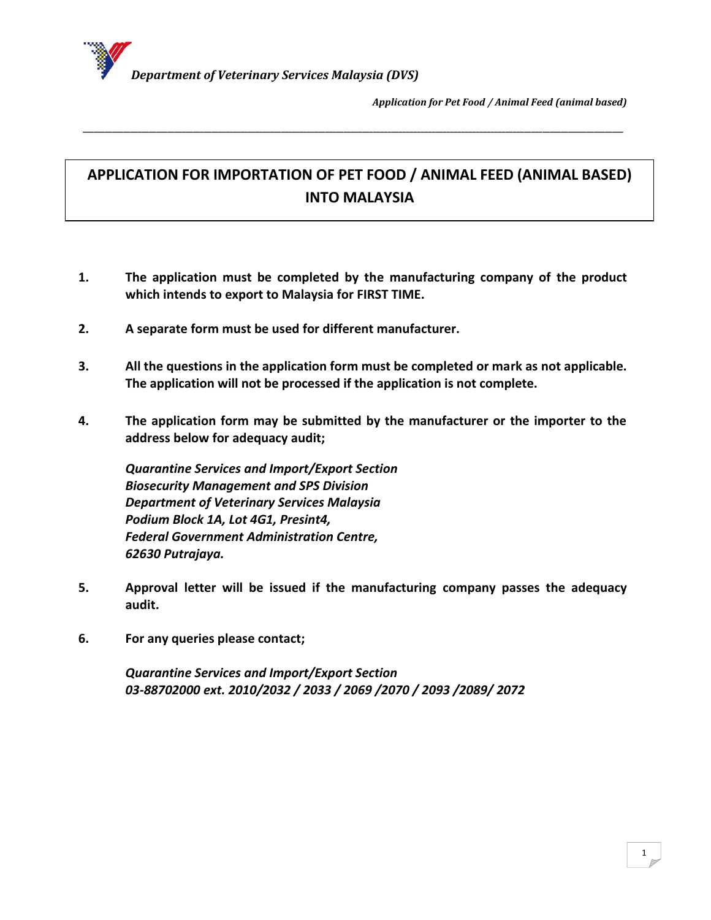

# **APPLICATION FOR IMPORTATION OF PET FOOD / ANIMAL FEED (ANIMAL BASED) INTO MALAYSIA**

*\_\_\_\_\_\_\_\_\_\_\_\_\_\_\_\_\_\_\_\_\_\_\_\_\_\_\_\_\_\_\_\_\_\_\_\_\_\_\_\_\_\_\_\_\_\_\_\_\_\_\_\_\_\_\_\_\_\_\_\_\_\_\_\_\_\_\_\_\_\_\_\_\_\_\_\_\_\_\_\_\_\_\_\_\_\_\_\_\_\_\_\_\_\_\_\_\_\_\_\_\_\_\_\_\_\_\_\_\_\_\_\_\_\_\_\_\_\_\_\_\_\_\_\_\_\_\_\_\_\_\_\_\_\_\_\_\_\_\_\_\_\_\_\_\_\_\_*

- **1. The application must be completed by the manufacturing company of the product which intends to export to Malaysia for FIRST TIME.**
- **2. A separate form must be used for different manufacturer.**
- **3. All the questions in the application form must be completed or mark as not applicable. The application will not be processed if the application is not complete.**
- **4. The application form may be submitted by the manufacturer or the importer to the address below for adequacy audit;**

*Quarantine Services and Import/Export Section Biosecurity Management and SPS Division Department of Veterinary Services Malaysia Podium Block 1A, Lot 4G1, Presint4, Federal Government Administration Centre, 62630 Putrajaya.*

- **5. Approval letter will be issued if the manufacturing company passes the adequacy audit.**
- **6. For any queries please contact;**

*Quarantine Services and Import/Export Section 03-88702000 ext. 2010/2032 / 2033 / 2069 /2070 / 2093 /2089/ 2072*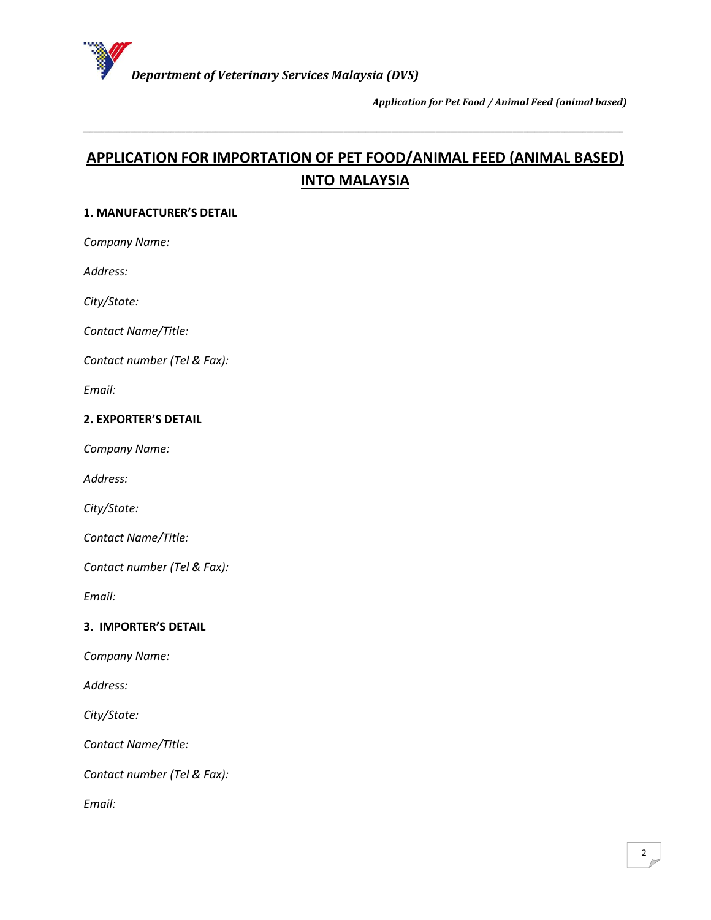

# **APPLICATION FOR IMPORTATION OF PET FOOD/ANIMAL FEED (ANIMAL BASED) INTO MALAYSIA**

*\_\_\_\_\_\_\_\_\_\_\_\_\_\_\_\_\_\_\_\_\_\_\_\_\_\_\_\_\_\_\_\_\_\_\_\_\_\_\_\_\_\_\_\_\_\_\_\_\_\_\_\_\_\_\_\_\_\_\_\_\_\_\_\_\_\_\_\_\_\_\_\_\_\_\_\_\_\_\_\_\_\_\_\_\_\_\_\_\_\_\_\_\_\_\_\_\_\_\_\_\_\_\_\_\_\_\_\_\_\_\_\_\_\_\_\_\_\_\_\_\_\_\_\_\_\_\_\_\_\_\_\_\_\_\_\_\_\_\_\_\_\_\_\_\_\_\_*

#### **1. MANUFACTURER'S DETAIL**

*Company Name:*

*Address:* 

*City/State:*

*Contact Name/Title:*

*Contact number (Tel & Fax):* 

*Email:*

#### **2. EXPORTER'S DETAIL**

*Company Name:*

*Address:* 

*City/State:*

*Contact Name/Title:*

*Contact number (Tel & Fax):* 

*Email:*

#### **3. IMPORTER'S DETAIL**

*Company Name:*

*Address:* 

*City/State:*

*Contact Name/Title:*

*Contact number (Tel & Fax):*

*Email:*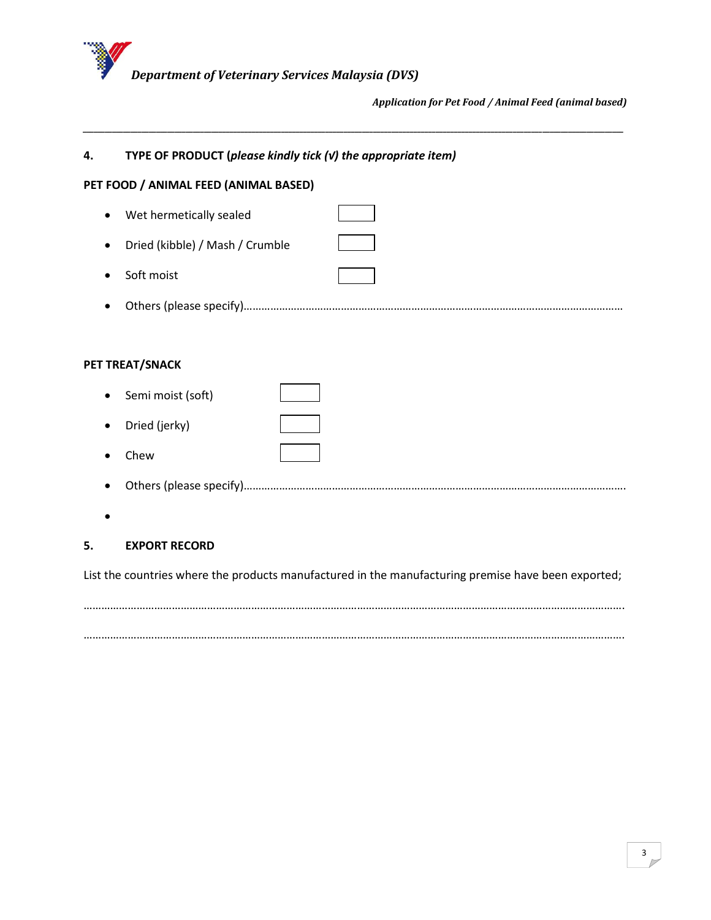

| 4.        | TYPE OF PRODUCT (please kindly tick $(v)$ the appropriate item) |  |  |
|-----------|-----------------------------------------------------------------|--|--|
|           | PET FOOD / ANIMAL FEED (ANIMAL BASED)                           |  |  |
| $\bullet$ | Wet hermetically sealed                                         |  |  |
|           | Dried (kibble) / Mash / Crumble                                 |  |  |
|           | Soft moist                                                      |  |  |
|           |                                                                 |  |  |
|           |                                                                 |  |  |
|           | PET TREAT/SNACK                                                 |  |  |
|           | Semi moist (soft)                                               |  |  |
|           | Dried (jerky)                                                   |  |  |
|           | Chew                                                            |  |  |
|           |                                                                 |  |  |

*\_\_\_\_\_\_\_\_\_\_\_\_\_\_\_\_\_\_\_\_\_\_\_\_\_\_\_\_\_\_\_\_\_\_\_\_\_\_\_\_\_\_\_\_\_\_\_\_\_\_\_\_\_\_\_\_\_\_\_\_\_\_\_\_\_\_\_\_\_\_\_\_\_\_\_\_\_\_\_\_\_\_\_\_\_\_\_\_\_\_\_\_\_\_\_\_\_\_\_\_\_\_\_\_\_\_\_\_\_\_\_\_\_\_\_\_\_\_\_\_\_\_\_\_\_\_\_\_\_\_\_\_\_\_\_\_\_\_\_\_\_\_\_\_\_\_\_*

 $\bullet$ 

## **5. EXPORT RECORD**

List the countries where the products manufactured in the manufacturing premise have been exported;

………………………………………………………………………………………………………………………………………………………………….

………………………………………………………………………………………………………………………………………………………………….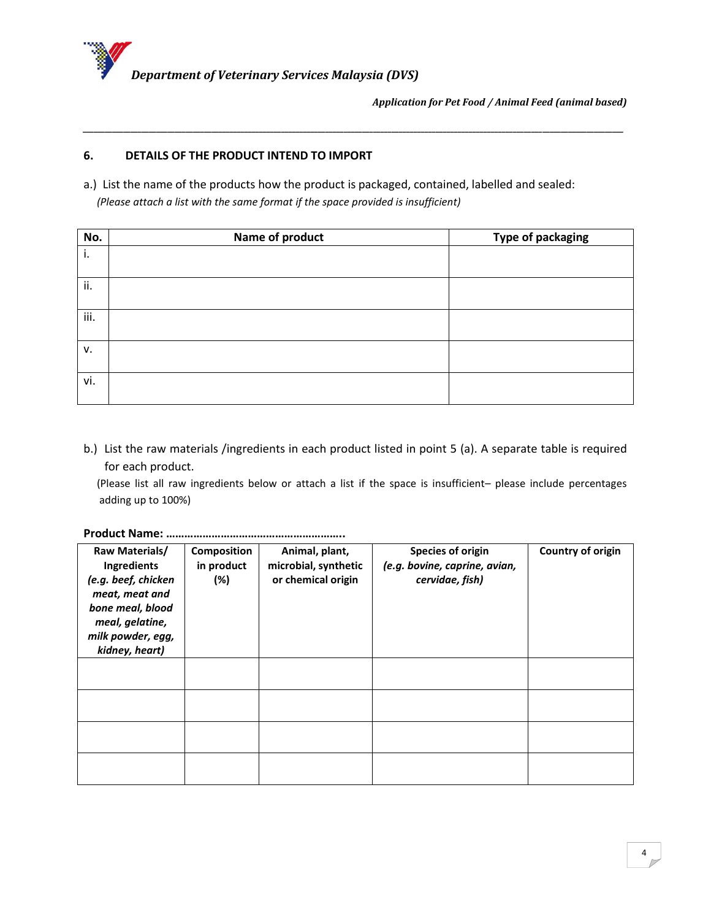

### **6. DETAILS OF THE PRODUCT INTEND TO IMPORT**

a.) List the name of the products how the product is packaged, contained, labelled and sealed:  *(Please attach a list with the same format if the space provided is insufficient)*

*\_\_\_\_\_\_\_\_\_\_\_\_\_\_\_\_\_\_\_\_\_\_\_\_\_\_\_\_\_\_\_\_\_\_\_\_\_\_\_\_\_\_\_\_\_\_\_\_\_\_\_\_\_\_\_\_\_\_\_\_\_\_\_\_\_\_\_\_\_\_\_\_\_\_\_\_\_\_\_\_\_\_\_\_\_\_\_\_\_\_\_\_\_\_\_\_\_\_\_\_\_\_\_\_\_\_\_\_\_\_\_\_\_\_\_\_\_\_\_\_\_\_\_\_\_\_\_\_\_\_\_\_\_\_\_\_\_\_\_\_\_\_\_\_\_\_\_*

| No.  | Name of product | <b>Type of packaging</b> |
|------|-----------------|--------------------------|
| i.   |                 |                          |
|      |                 |                          |
| ii.  |                 |                          |
| iii. |                 |                          |
| v.   |                 |                          |
| vi.  |                 |                          |

b.) List the raw materials /ingredients in each product listed in point 5 (a). A separate table is required for each product.

 (Please list all raw ingredients below or attach a list if the space is insufficient– please include percentages adding up to 100%)

**Product Name: …………………………………………………..**

| Raw Materials/      | <b>Composition</b> | Animal, plant,       | Species of origin             | Country of origin |
|---------------------|--------------------|----------------------|-------------------------------|-------------------|
| Ingredients         | in product         | microbial, synthetic | (e.g. bovine, caprine, avian, |                   |
| (e.g. beef, chicken | (%)                | or chemical origin   | cervidae, fish)               |                   |
| meat, meat and      |                    |                      |                               |                   |
| bone meal, blood    |                    |                      |                               |                   |
| meal, gelatine,     |                    |                      |                               |                   |
| milk powder, egg,   |                    |                      |                               |                   |
| kidney, heart)      |                    |                      |                               |                   |
|                     |                    |                      |                               |                   |
|                     |                    |                      |                               |                   |
|                     |                    |                      |                               |                   |
|                     |                    |                      |                               |                   |
|                     |                    |                      |                               |                   |
|                     |                    |                      |                               |                   |
|                     |                    |                      |                               |                   |
|                     |                    |                      |                               |                   |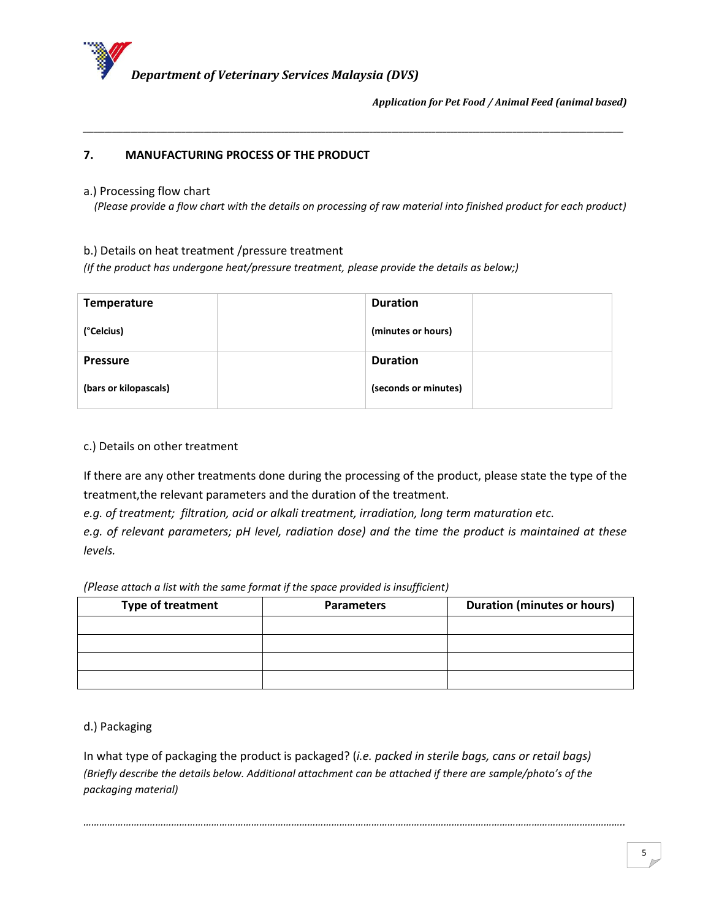

## **7. MANUFACTURING PROCESS OF THE PRODUCT**

#### a.) Processing flow chart

 *(Please provide a flow chart with the details on processing of raw material into finished product for each product)*

*\_\_\_\_\_\_\_\_\_\_\_\_\_\_\_\_\_\_\_\_\_\_\_\_\_\_\_\_\_\_\_\_\_\_\_\_\_\_\_\_\_\_\_\_\_\_\_\_\_\_\_\_\_\_\_\_\_\_\_\_\_\_\_\_\_\_\_\_\_\_\_\_\_\_\_\_\_\_\_\_\_\_\_\_\_\_\_\_\_\_\_\_\_\_\_\_\_\_\_\_\_\_\_\_\_\_\_\_\_\_\_\_\_\_\_\_\_\_\_\_\_\_\_\_\_\_\_\_\_\_\_\_\_\_\_\_\_\_\_\_\_\_\_\_\_\_\_*

b.) Details on heat treatment /pressure treatment

*(If the product has undergone heat/pressure treatment, please provide the details as below;)*

| <b>Temperature</b>    | <b>Duration</b>      |
|-----------------------|----------------------|
| (°Celcius)            | (minutes or hours)   |
| <b>Pressure</b>       | <b>Duration</b>      |
| (bars or kilopascals) | (seconds or minutes) |

#### c.) Details on other treatment

If there are any other treatments done during the processing of the product, please state the type of the treatment,the relevant parameters and the duration of the treatment.

*e.g. of treatment; filtration, acid or alkali treatment, irradiation, long term maturation etc.*

*e.g. of relevant parameters; pH level, radiation dose) and the time the product is maintained at these levels.*

*(Please attach a list with the same format if the space provided is insufficient)*

| <b>Type of treatment</b> | <b>Parameters</b> | <b>Duration (minutes or hours)</b> |
|--------------------------|-------------------|------------------------------------|
|                          |                   |                                    |
|                          |                   |                                    |
|                          |                   |                                    |
|                          |                   |                                    |

d.) Packaging

In what type of packaging the product is packaged? (*i.e. packed in sterile bags, cans or retail bags) (Briefly describe the details below. Additional attachment can be attached if there are sample/photo's of the packaging material)*

*…………………………………………………………………………………………………………………………………………………………………………………..*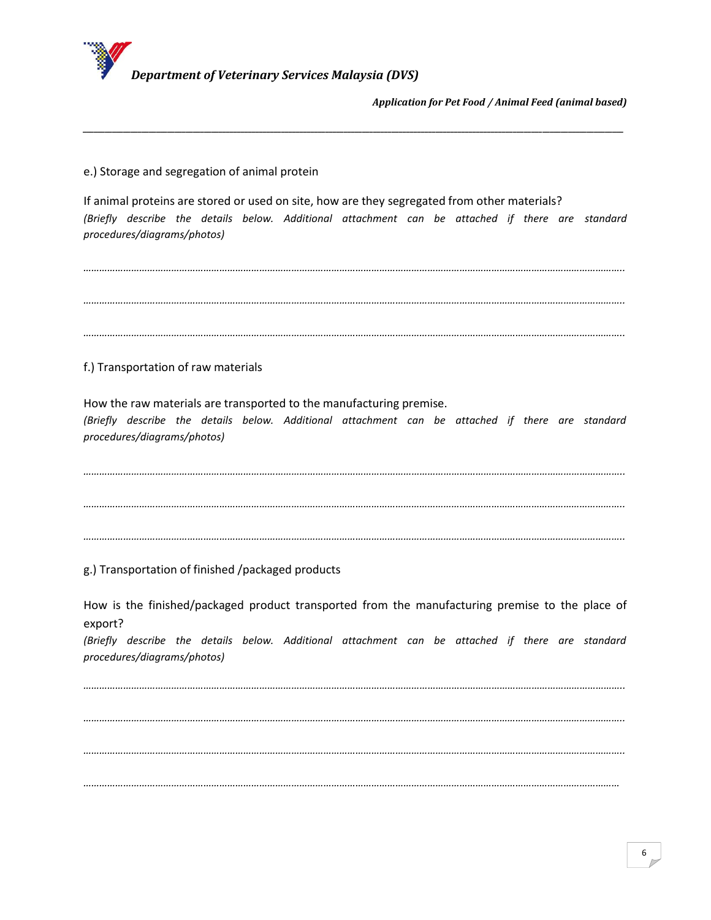

e.) Storage and segregation of animal protein

If animal proteins are stored or used on site, how are they segregated from other materials? *(Briefly describe the details below. Additional attachment can be attached if there are standard procedures/diagrams/photos)*

*\_\_\_\_\_\_\_\_\_\_\_\_\_\_\_\_\_\_\_\_\_\_\_\_\_\_\_\_\_\_\_\_\_\_\_\_\_\_\_\_\_\_\_\_\_\_\_\_\_\_\_\_\_\_\_\_\_\_\_\_\_\_\_\_\_\_\_\_\_\_\_\_\_\_\_\_\_\_\_\_\_\_\_\_\_\_\_\_\_\_\_\_\_\_\_\_\_\_\_\_\_\_\_\_\_\_\_\_\_\_\_\_\_\_\_\_\_\_\_\_\_\_\_\_\_\_\_\_\_\_\_\_\_\_\_\_\_\_\_\_\_\_\_\_\_\_\_*

*………………………………………………………………………………………………………………………………………………………………………………….. ………………………………………………………………………………………………………………………………………………………………………………….. …………………………………………………………………………………………………………………………………………………………………………………..* f.) Transportation of raw materials How the raw materials are transported to the manufacturing premise. *(Briefly describe the details below. Additional attachment can be attached if there are standard procedures/diagrams/photos) ………………………………………………………………………………………………………………………………………………………………………………….. ………………………………………………………………………………………………………………………………………………………………………………….. …………………………………………………………………………………………………………………………………………………………………………………..* g.) Transportation of finished /packaged products

How is the finished/packaged product transported from the manufacturing premise to the place of export?

*(Briefly describe the details below. Additional attachment can be attached if there are standard procedures/diagrams/photos)*

*………………………………………………………………………………………………………………………………………………………………………………….. ………………………………………………………………………………………………………………………………………………………………………………….. ………………………………………………………………………………………………………………………………………………………………………………….. …………………………………………………………………………………………………………………………………………………………………………………*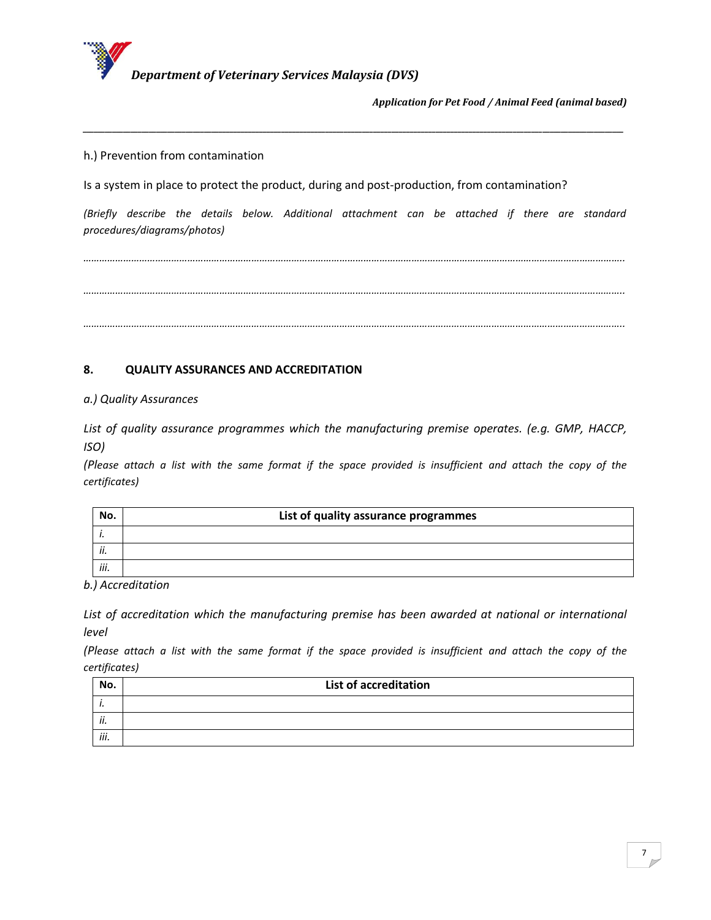

h.) Prevention from contamination

Is a system in place to protect the product, during and post-production, from contamination?

*(Briefly describe the details below. Additional attachment can be attached if there are standard procedures/diagrams/photos)*

*\_\_\_\_\_\_\_\_\_\_\_\_\_\_\_\_\_\_\_\_\_\_\_\_\_\_\_\_\_\_\_\_\_\_\_\_\_\_\_\_\_\_\_\_\_\_\_\_\_\_\_\_\_\_\_\_\_\_\_\_\_\_\_\_\_\_\_\_\_\_\_\_\_\_\_\_\_\_\_\_\_\_\_\_\_\_\_\_\_\_\_\_\_\_\_\_\_\_\_\_\_\_\_\_\_\_\_\_\_\_\_\_\_\_\_\_\_\_\_\_\_\_\_\_\_\_\_\_\_\_\_\_\_\_\_\_\_\_\_\_\_\_\_\_\_\_\_*

*………………………………………………………………………………………………………………………………………………………………………………….. ………………………………………………………………………………………………………………………………………………………………………………….. …………………………………………………………………………………………………………………………………………………………………………………..*

## **8. QUALITY ASSURANCES AND ACCREDITATION**

*a.) Quality Assurances*

*List of quality assurance programmes which the manufacturing premise operates. (e.g. GMP, HACCP, ISO)*

*(Please attach a list with the same format if the space provided is insufficient and attach the copy of the certificates)*

| No.  | List of quality assurance programmes |
|------|--------------------------------------|
|      |                                      |
| ii.  |                                      |
| iii. |                                      |

*b.) Accreditation*

List of accreditation which the manufacturing premise has been awarded at national or international *level*

*(Please attach a list with the same format if the space provided is insufficient and attach the copy of the certificates)*

| No.  | List of accreditation |
|------|-----------------------|
| . .  |                       |
| ii.  |                       |
| iii. |                       |